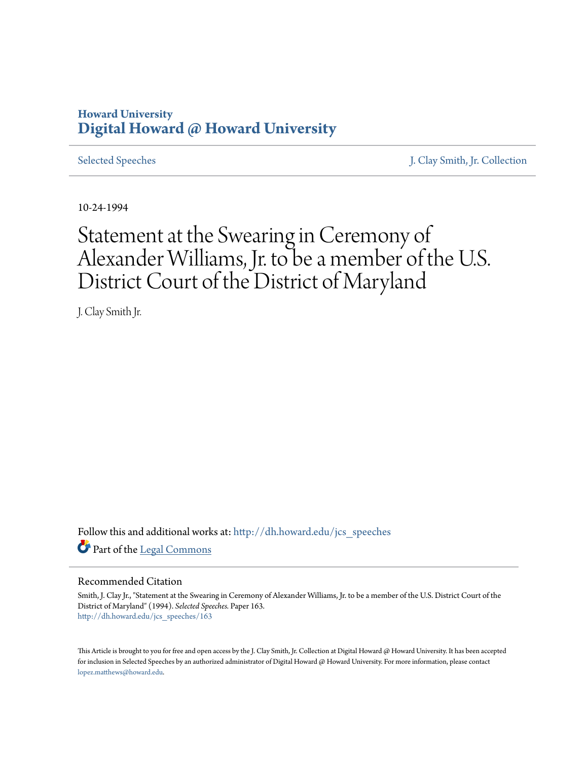## **Howard University [Digital Howard @ Howard University](http://dh.howard.edu?utm_source=dh.howard.edu%2Fjcs_speeches%2F163&utm_medium=PDF&utm_campaign=PDFCoverPages)**

[Selected Speeches](http://dh.howard.edu/jcs_speeches?utm_source=dh.howard.edu%2Fjcs_speeches%2F163&utm_medium=PDF&utm_campaign=PDFCoverPages) [J. Clay Smith, Jr. Collection](http://dh.howard.edu/jcsmith?utm_source=dh.howard.edu%2Fjcs_speeches%2F163&utm_medium=PDF&utm_campaign=PDFCoverPages)

10-24-1994

## Statement at the Swearing in Ceremony of Alexander Williams, Jr. to be a member of the U.S. District Court of the District of Maryland

J. Clay Smith Jr.

Follow this and additional works at: [http://dh.howard.edu/jcs\\_speeches](http://dh.howard.edu/jcs_speeches?utm_source=dh.howard.edu%2Fjcs_speeches%2F163&utm_medium=PDF&utm_campaign=PDFCoverPages) Part of the [Legal Commons](http://network.bepress.com/hgg/discipline/502?utm_source=dh.howard.edu%2Fjcs_speeches%2F163&utm_medium=PDF&utm_campaign=PDFCoverPages)

## Recommended Citation

Smith, J. Clay Jr., "Statement at the Swearing in Ceremony of Alexander Williams, Jr. to be a member of the U.S. District Court of the District of Maryland" (1994). *Selected Speeches.* Paper 163. [http://dh.howard.edu/jcs\\_speeches/163](http://dh.howard.edu/jcs_speeches/163?utm_source=dh.howard.edu%2Fjcs_speeches%2F163&utm_medium=PDF&utm_campaign=PDFCoverPages)

This Article is brought to you for free and open access by the J. Clay Smith, Jr. Collection at Digital Howard @ Howard University. It has been accepted for inclusion in Selected Speeches by an authorized administrator of Digital Howard @ Howard University. For more information, please contact [lopez.matthews@howard.edu.](mailto:lopez.matthews@howard.edu)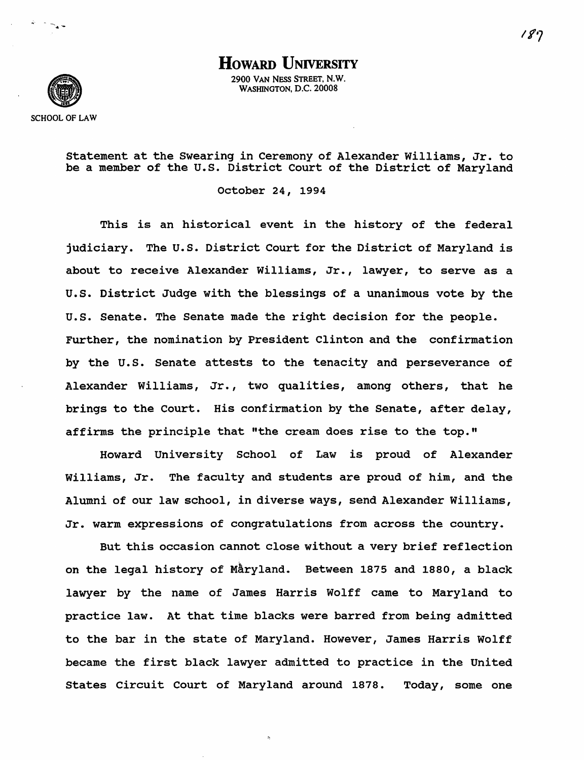HOWARD UNIVERSITY 2900 VAN NESS STREET, N.W. WASHINGTON, D.C. 20008



 $\frac{1}{2}$  -  $\frac{1}{2}$  -  $\frac{1}{2}$ 

statement at the Swearing in Ceremony of Alexander Williams, Jr. to be a member of the u.s. District Court of the District of Maryland

October 24, 1994

This is an historical event in the history of the federal judiciary. The U.S. District Court for the District of Maryland is about to receive Alexander Williams, Jr., lawyer, to serve as a u.s. District Judge with the blessings of a unanimous vote by the u.s. Senate. The Senate made the right decision for the people. Further, the nomination by President Clinton and the confirmation by the U.S. Senate attests to the tenacity and perseverance of Alexander Williams, Jr., two qualities, among others, that he brings to the Court. His confirmation by the Senate, after delay, affirms the principle that "the cream does rise to the top."

Howard University School of Law is proud of Alexander Williams, Jr. The faculty and students are proud of him, and the Alumni of our law school, in diverse ways, send Alexander Williams, Jr. warm expressions of congratulations from across the country.

But this occasion cannot close without a very brief reflection on the legal history of Måryland. Between 1875 and 1880, a black lawyer by the name of James Harris Wolff came to Maryland to practice law. At that time blacks were barred from being admitted to the bar in the state of Maryland. However, James Harris Wolff became the first black lawyer admitted to practice in the united States Circuit Court of Maryland around 1878. Today, some one